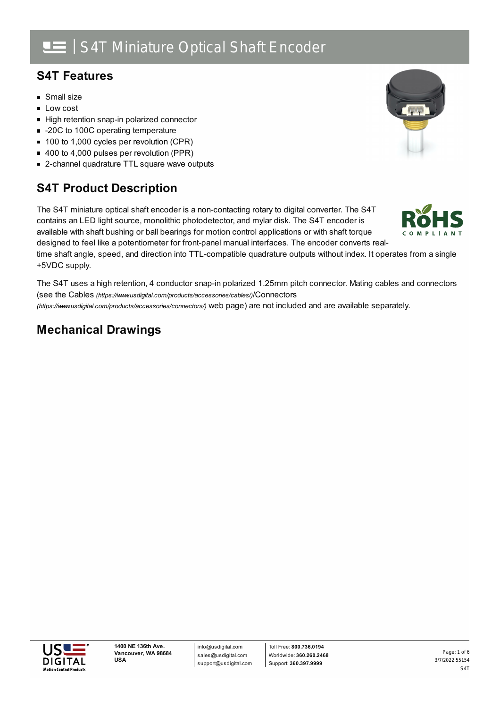## **S4T Features**

- **Small size**
- **Low cost**
- High retention snap-in polarized connector
- -20C to 100C operating temperature
- 100 to 1,000 cycles per revolution (CPR)
- 400 to 4,000 pulses per revolution (PPR)
- 2-channel quadrature TTL square wave outputs

## **S4T Product Description**

The S4T miniature optical shaft encoder is a non-contacting rotary to digital converter. The S4T contains an LED light source, monolithic photodetector, and mylar disk. The S4T encoder is available with shaft bushing or ball bearings for motion control applications or with shaft torque designed to feel like a potentiometer for front-panel manual interfaces. The encoder converts real-

time shaft angle, speed, and direction into TTL-compatible quadrature outputs without index. It operates from a single +5VDC supply.

The S4T uses a high retention, 4 conductor snap-in polarized 1.25mm pitch connector. Mating cables and connectors (see the Cables *[\(https://www.usdigital.com/products/accessories/cables/\)](https://www.usdigital.com/products/accessories/cables/)*/Connectors

*(https://www.usdigital.com/products/accessories/connectors/)* web page) are not included and are available separately.

## **Mechanical Drawings**







3/7/2022 55154 S4T Page: 1 of 6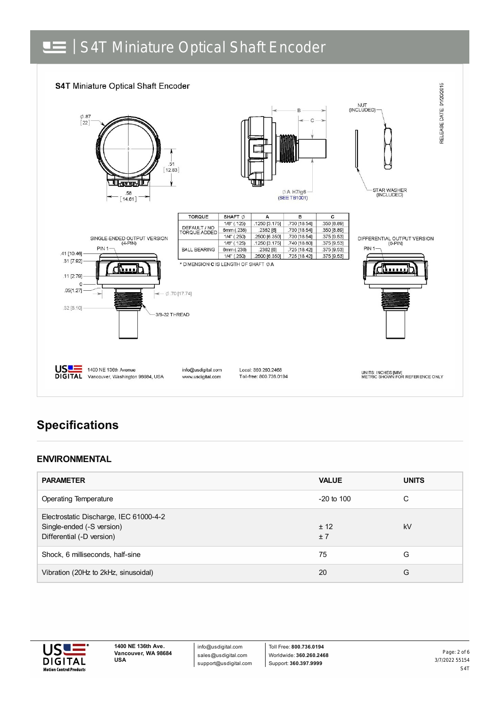

## **Specifications**

#### **ENVIRONMENTAL**

| <b>PARAMETER</b>                                                                                 | <b>VALUE</b>   | <b>UNITS</b> |
|--------------------------------------------------------------------------------------------------|----------------|--------------|
| Operating Temperature                                                                            | $-20$ to $100$ | С            |
| Electrostatic Discharge, IEC 61000-4-2<br>Single-ended (-S version)<br>Differential (-D version) | ± 12<br>±7     | kV           |
| Shock, 6 milliseconds, half-sine                                                                 | 75             | G            |
| Vibration (20Hz to 2kHz, sinusoidal)                                                             | 20             | G            |



info@usdigital.com sales@usdigital.com support@usdigital.com

Toll Free: **800.736.0194** Worldwide: **360.260.2468** Support: **360.397.9999**

3/7/2022 55154 S4T Page: 2 of 6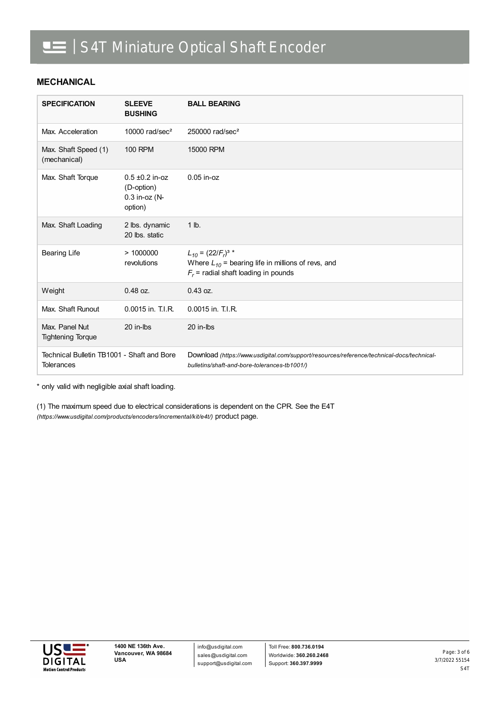#### **MECHANICAL**

| <b>SPECIFICATION</b>                                            | <b>SLEEVE</b><br><b>BUSHING</b>                                 | <b>BALL BEARING</b>                                                                                                                       |
|-----------------------------------------------------------------|-----------------------------------------------------------------|-------------------------------------------------------------------------------------------------------------------------------------------|
| Max. Acceleration                                               | 10000 $rad/sec2$                                                | 250000 rad/sec <sup>2</sup>                                                                                                               |
| Max. Shaft Speed (1)<br>(mechanical)                            | <b>100 RPM</b>                                                  | 15000 RPM                                                                                                                                 |
| Max. Shaft Torque                                               | $0.5 \pm 0.2$ in-oz<br>(D-option)<br>$0.3$ in-oz (N-<br>option) | $0.05$ in- $oz$                                                                                                                           |
| Max. Shaft Loading                                              | 2 lbs. dynamic<br>20 lbs. static                                | $1$ lb.                                                                                                                                   |
| <b>Bearing Life</b>                                             | >1000000<br>revolutions                                         | $L_{10} = (22/F_r)^{3*}$<br>Where $L_{10}$ = bearing life in millions of revs, and<br>$F_r$ = radial shaft loading in pounds              |
| Weight                                                          | $0.48$ oz.                                                      | $0.43$ oz.                                                                                                                                |
| Max. Shaft Runout                                               | 0.0015 in. T.I.R.                                               | 0.0015 in. T.I.R.                                                                                                                         |
| Max. Panel Nut<br><b>Tightening Torque</b>                      | 20 in-lbs                                                       | 20 in-lbs                                                                                                                                 |
| Technical Bulletin TB1001 - Shaft and Bore<br><b>Tolerances</b> |                                                                 | Download (https://www.usdigital.com/support/resources/reference/technical-docs/technical-<br>bulletins/shaft-and-bore-tolerances-tb1001/) |

\* only valid with negligible axial shaft loading.

(1) The maximum speed due to electrical considerations is dependent on the CPR. See the E4T *(https://www.usdigital.com/products/encoders/incremental/kit/e4t/)* product page.

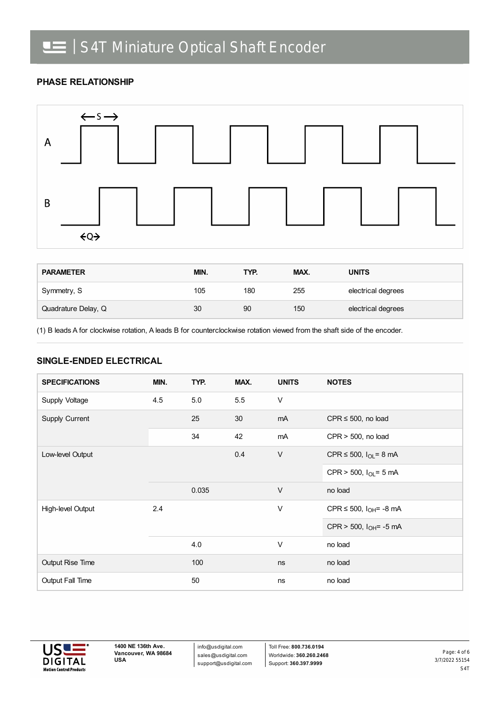#### **PHASE RELATIONSHIP**



| <b>PARAMETER</b>    | MIN. | TYP. | MAX. | <b>UNITS</b>       |
|---------------------|------|------|------|--------------------|
| Symmetry, S         | 105  | 180  | 255  | electrical degrees |
| Quadrature Delay, Q | 30   | 90   | 150  | electrical degrees |

(1) B leads A for clockwise rotation, A leads B for counterclockwise rotation viewed from the shaft side of the encoder.

#### **SINGLE-ENDED ELECTRICAL**

| <b>SPECIFICATIONS</b>   | MIN. | TYP.  | MAX. | <b>UNITS</b> | <b>NOTES</b>                |
|-------------------------|------|-------|------|--------------|-----------------------------|
| Supply Voltage          | 4.5  | 5.0   | 5.5  | V            |                             |
| Supply Current          |      | 25    | 30   | mA           | CPR $\leq$ 500, no load     |
|                         |      | 34    | 42   | mA           | $CPR > 500$ , no load       |
| Low-level Output        |      |       | 0.4  | $\vee$       | CPR ≤ 500, $I_{OL}$ = 8 mA  |
|                         |      |       |      |              | CPR > 500, $I_{OL} = 5$ mA  |
|                         |      | 0.035 |      | $\vee$       | no load                     |
| High-level Output       | 2.4  |       |      | $\vee$       | CPR ≤ 500, $I_{OH}$ = -8 mA |
|                         |      |       |      |              | CPR > 500, $I_{OH}$ = -5 mA |
|                         |      | 4.0   |      | V            | no load                     |
| <b>Output Rise Time</b> |      | 100   |      | ns           | no load                     |
| Output Fall Time        |      | 50    |      | ns           | no load                     |



info@usdigital.com sales@usdigital.com support@usdigital.com

Toll Free: **800.736.0194** Worldwide: **360.260.2468** Support: **360.397.9999**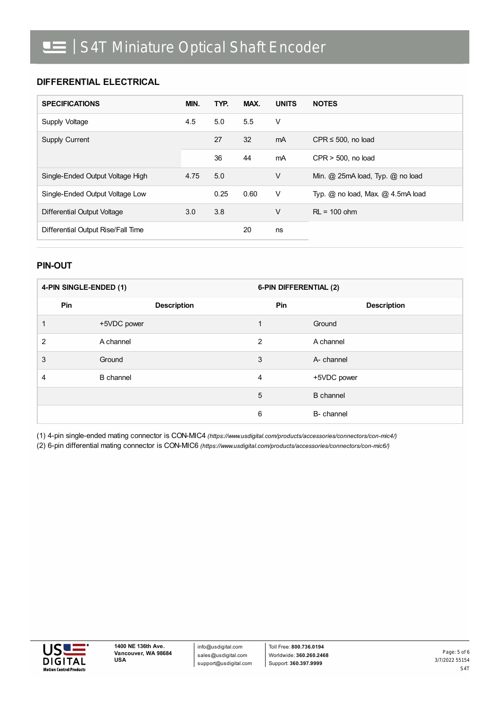#### **DIFFERENTIAL ELECTRICAL**

| <b>SPECIFICATIONS</b>              | MIN. | TYP. | MAX. | <b>UNITS</b> | <b>NOTES</b>                          |
|------------------------------------|------|------|------|--------------|---------------------------------------|
| Supply Voltage                     | 4.5  | 5.0  | 5.5  | $\vee$       |                                       |
| <b>Supply Current</b>              |      | 27   | 32   | mA           | CPR $\leq$ 500, no load               |
|                                    |      | 36   | 44   | mA           | $CPR > 500$ , no load                 |
| Single-Ended Output Voltage High   | 4.75 | 5.0  |      | V            | Min. $@$ 25mA load, Typ. $@$ no load  |
| Single-Ended Output Voltage Low    |      | 0.25 | 0.60 | V            | Typ. $@$ no load, Max. $@$ 4.5mA load |
| Differential Output Voltage        | 3.0  | 3.8  |      | V            | $RL = 100$ ohm                        |
| Differential Output Rise/Fall Time |      |      | 20   | ns           |                                       |

#### **PIN-OUT**

| 4-PIN SINGLE-ENDED (1) |     |                    | 6-PIN DIFFERENTIAL (2) |                    |  |
|------------------------|-----|--------------------|------------------------|--------------------|--|
|                        | Pin | <b>Description</b> | Pin                    | <b>Description</b> |  |
|                        |     | +5VDC power        |                        | Ground             |  |
| $\overline{2}$         |     | A channel          | $\overline{2}$         | A channel          |  |
| 3                      |     | Ground             | 3                      | A- channel         |  |
| 4                      |     | <b>B</b> channel   | 4                      | +5VDC power        |  |
|                        |     |                    | 5                      | <b>B</b> channel   |  |
|                        |     |                    | 6                      | B- channel         |  |

(1) 4-pin single-ended mating connector is CON-MIC4 *[\(https://www.usdigital.com/products/accessories/connectors/con-mic4/\)](https://www.usdigital.com/products/accessories/connectors/con-mic4/)*

(2) 6-pin differential mating connector is CON-MIC6 *[\(https://www.usdigital.com/products/accessories/connectors/con-mic6/\)](https://www.usdigital.com/products/accessories/connectors/con-mic6/)*



info@usdigital.com sales@usdigital.com support@usdigital.com

Toll Free: **800.736.0194** Worldwide: **360.260.2468** Support: **360.397.9999**

3/7/2022 55154 S4T Page: 5 of 6